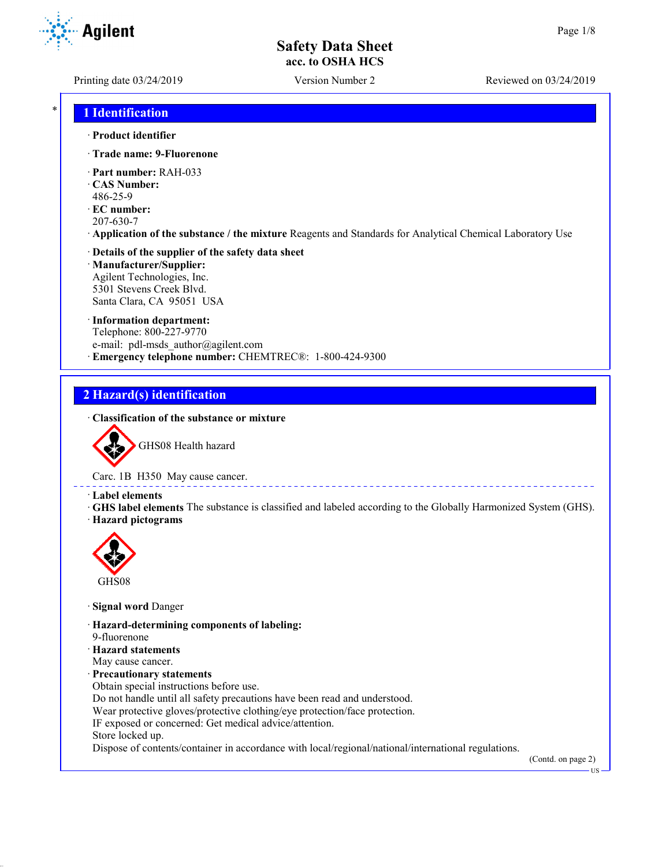**Agilent** 

Printing date 03/24/2019 Version Number 2 Reviewed on 03/24/2019

## \* **1 Identification**

#### · **Product identifier**

- · **Trade name: 9-Fluorenone**
- · **Part number:** RAH-033
- · **CAS Number:**
- 486-25-9
- · **EC number:** 207-630-7
- · **Application of the substance / the mixture** Reagents and Standards for Analytical Chemical Laboratory Use

#### · **Details of the supplier of the safety data sheet** · **Manufacturer/Supplier:** Agilent Technologies, Inc.

5301 Stevens Creek Blvd. Santa Clara, CA 95051 USA

#### · **Information department:**

Telephone: 800-227-9770 e-mail: pdl-msds author@agilent.com · **Emergency telephone number:** CHEMTREC®: 1-800-424-9300

## **2 Hazard(s) identification**

#### · **Classification of the substance or mixture**



GHS08 Health hazard

Carc. 1B H350 May cause cancer.

#### · **Label elements**

· **GHS label elements** The substance is classified and labeled according to the Globally Harmonized System (GHS). · **Hazard pictograms**



- · **Signal word** Danger
- · **Hazard-determining components of labeling:**
- 9-fluorenone
- · **Hazard statements**
- May cause cancer.
- · **Precautionary statements**
- Obtain special instructions before use.
- Do not handle until all safety precautions have been read and understood.
- Wear protective gloves/protective clothing/eye protection/face protection.
- IF exposed or concerned: Get medical advice/attention.
- Store locked up.

Dispose of contents/container in accordance with local/regional/national/international regulations.

(Contd. on page 2)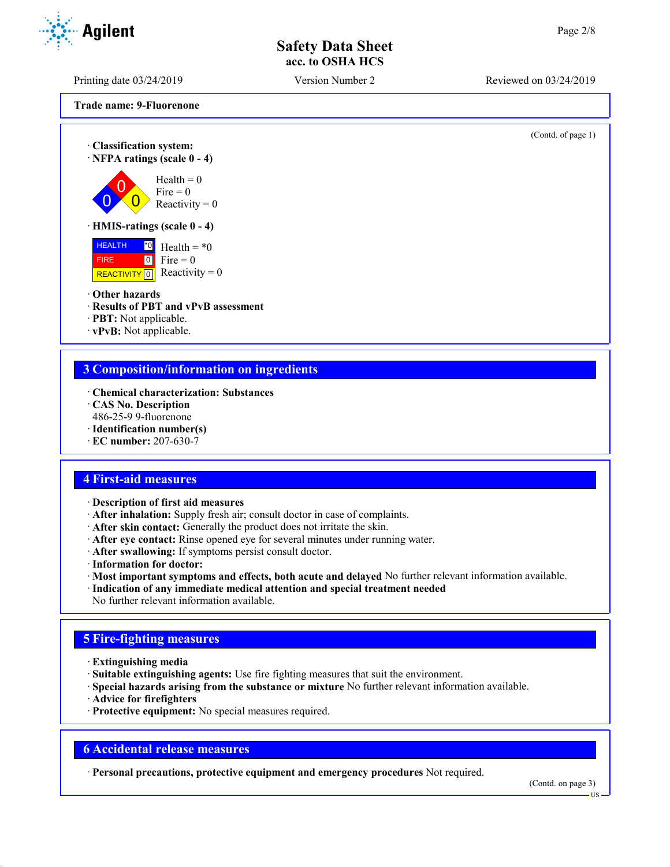Printing date 03/24/2019 Version Number 2 Reviewed on 03/24/2019

**Trade name: 9-Fluorenone**

(Contd. of page 1) · **Classification system:** · **NFPA ratings (scale 0 - 4)**  $\overline{0}$  $\overline{0}$  $\overline{0}$  $Health = 0$ Fire  $= 0$ Reactivity  $= 0$ · **HMIS-ratings (scale 0 - 4)** HEALTH FIRE REACTIVITY  $\boxed{0}$  Reactivity = 0  $\overline{10}$  Health = \*0  $\boxed{0}$ Fire  $= 0$ · **Other hazards** · **Results of PBT and vPvB assessment** · **PBT:** Not applicable. · **vPvB:** Not applicable. **3 Composition/information on ingredients** · **Chemical characterization: Substances** · **CAS No. Description**

- 486-25-9 9-fluorenone
- · **Identification number(s)** · **EC number:** 207-630-7
- **4 First-aid measures**
- 
- · **Description of first aid measures** · **After inhalation:** Supply fresh air; consult doctor in case of complaints.
- 
- · **After skin contact:** Generally the product does not irritate the skin.
- · **After eye contact:** Rinse opened eye for several minutes under running water.
- · **After swallowing:** If symptoms persist consult doctor.
- · **Information for doctor:**
- · **Most important symptoms and effects, both acute and delayed** No further relevant information available.
- · **Indication of any immediate medical attention and special treatment needed**
- No further relevant information available.

## **5 Fire-fighting measures**

- · **Extinguishing media**
- · **Suitable extinguishing agents:** Use fire fighting measures that suit the environment.
- · **Special hazards arising from the substance or mixture** No further relevant information available.
- · **Advice for firefighters**
- · **Protective equipment:** No special measures required.

## **6 Accidental release measures**

· **Personal precautions, protective equipment and emergency procedures** Not required.

(Contd. on page 3)

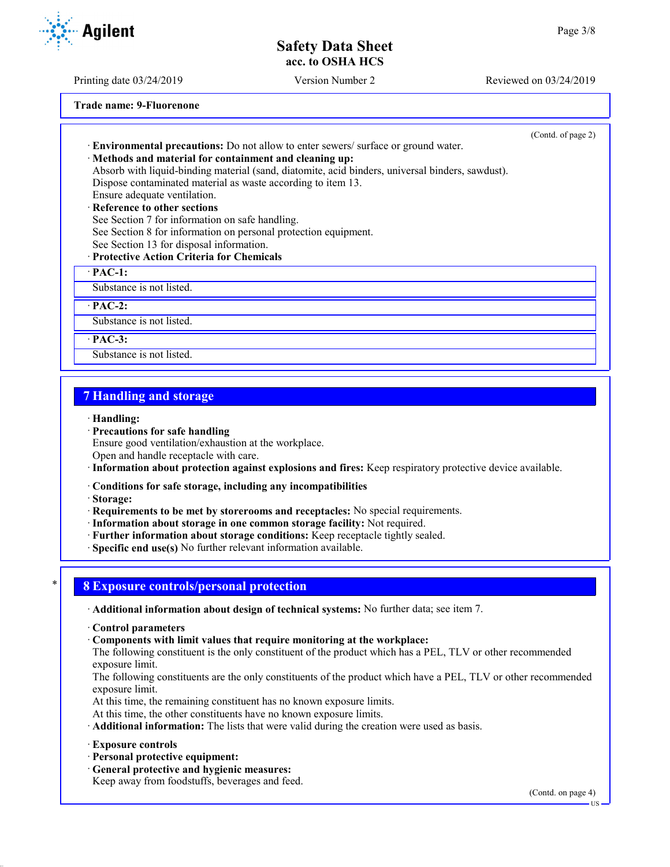Printing date 03/24/2019 Version Number 2 Reviewed on 03/24/2019

**Trade name: 9-Fluorenone**

|                                                                                                  | (Contd. of page 2) |
|--------------------------------------------------------------------------------------------------|--------------------|
| <b>Environmental precautions:</b> Do not allow to enter sewers/ surface or ground water.         |                    |
| · Methods and material for containment and cleaning up:                                          |                    |
| Absorb with liquid-binding material (sand, diatomite, acid binders, universal binders, sawdust). |                    |
| Dispose contaminated material as waste according to item 13.                                     |                    |
| Ensure adequate ventilation.                                                                     |                    |
| · Reference to other sections                                                                    |                    |
| See Section 7 for information on safe handling.                                                  |                    |
| See Section 8 for information on personal protection equipment.                                  |                    |
| See Section 13 for disposal information.                                                         |                    |
| · Protective Action Criteria for Chemicals                                                       |                    |
| $\cdot$ PAC-1:                                                                                   |                    |
| Substance is not listed.                                                                         |                    |
| $\cdot$ PAC-2:                                                                                   |                    |
| Substance is not listed.                                                                         |                    |
| $\cdot$ PAC-3:                                                                                   |                    |

## **7 Handling and storage**

Substance is not listed.

#### · **Handling:**

- · **Precautions for safe handling**
- Ensure good ventilation/exhaustion at the workplace.
- Open and handle receptacle with care.
- · **Information about protection against explosions and fires:** Keep respiratory protective device available.
- · **Conditions for safe storage, including any incompatibilities**
- · **Storage:**
- · **Requirements to be met by storerooms and receptacles:** No special requirements.
- · **Information about storage in one common storage facility:** Not required.
- · **Further information about storage conditions:** Keep receptacle tightly sealed.
- · **Specific end use(s)** No further relevant information available.

## \* **8 Exposure controls/personal protection**

- · **Additional information about design of technical systems:** No further data; see item 7.
- · **Control parameters**
- · **Components with limit values that require monitoring at the workplace:**
- The following constituent is the only constituent of the product which has a PEL, TLV or other recommended exposure limit.
- The following constituents are the only constituents of the product which have a PEL, TLV or other recommended exposure limit.
- At this time, the remaining constituent has no known exposure limits.
- At this time, the other constituents have no known exposure limits.
- · **Additional information:** The lists that were valid during the creation were used as basis.
- · **Exposure controls**
- · **Personal protective equipment:**
- · **General protective and hygienic measures:**

Keep away from foodstuffs, beverages and feed.

(Contd. on page 4)



US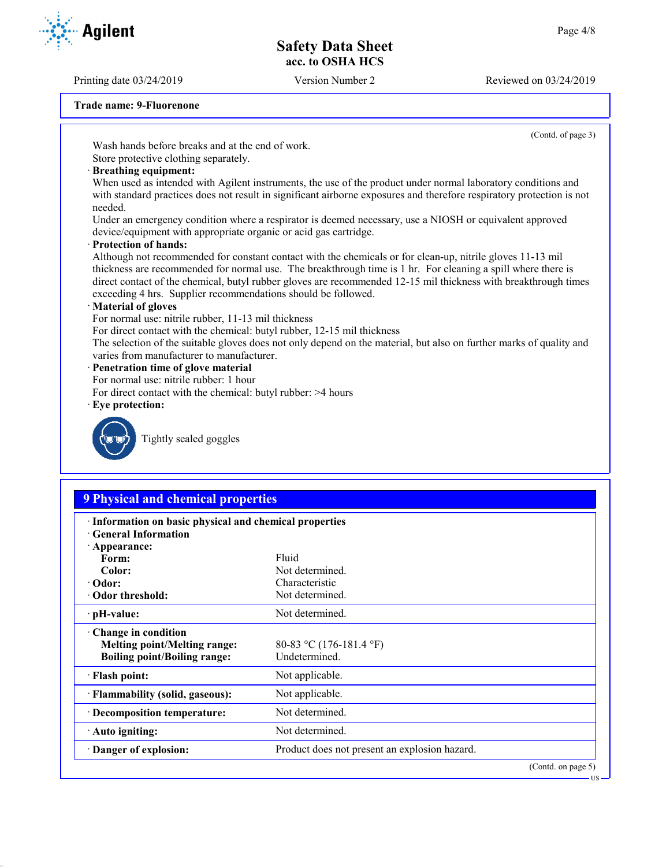Printing date 03/24/2019 Version Number 2 Reviewed on 03/24/2019

# **Agilent**

**Trade name: 9-Fluorenone**

(Contd. of page 3)

Wash hands before breaks and at the end of work. Store protective clothing separately.

# · **Breathing equipment:**

When used as intended with Agilent instruments, the use of the product under normal laboratory conditions and with standard practices does not result in significant airborne exposures and therefore respiratory protection is not needed.

Under an emergency condition where a respirator is deemed necessary, use a NIOSH or equivalent approved device/equipment with appropriate organic or acid gas cartridge.

· **Protection of hands:**

Although not recommended for constant contact with the chemicals or for clean-up, nitrile gloves 11-13 mil thickness are recommended for normal use. The breakthrough time is 1 hr. For cleaning a spill where there is direct contact of the chemical, butyl rubber gloves are recommended 12-15 mil thickness with breakthrough times exceeding 4 hrs. Supplier recommendations should be followed.

#### · **Material of gloves**

For normal use: nitrile rubber, 11-13 mil thickness

For direct contact with the chemical: butyl rubber, 12-15 mil thickness

The selection of the suitable gloves does not only depend on the material, but also on further marks of quality and varies from manufacturer to manufacturer.

- · **Penetration time of glove material**
- For normal use: nitrile rubber: 1 hour
- For direct contact with the chemical: butyl rubber: >4 hours
- · **Eye protection:**



Tightly sealed goggles

# **9 Physical and chemical properties**

| · Information on basic physical and chemical properties<br><b>Ceneral Information</b> |                                               |                    |  |
|---------------------------------------------------------------------------------------|-----------------------------------------------|--------------------|--|
| $\cdot$ Appearance:                                                                   |                                               |                    |  |
| Form:                                                                                 | Fluid                                         |                    |  |
| Color:                                                                                | Not determined.                               |                    |  |
| $\cdot$ Odor:                                                                         | Characteristic                                |                    |  |
| Odor threshold:                                                                       | Not determined.                               |                    |  |
| $\cdot$ pH-value:                                                                     | Not determined.                               |                    |  |
| Change in condition                                                                   |                                               |                    |  |
| <b>Melting point/Melting range:</b>                                                   | 80-83 °C (176-181.4 °F)                       |                    |  |
| <b>Boiling point/Boiling range:</b>                                                   | Undetermined.                                 |                    |  |
| · Flash point:                                                                        | Not applicable.                               |                    |  |
| · Flammability (solid, gaseous):                                                      | Not applicable.                               |                    |  |
| · Decomposition temperature:                                                          | Not determined.                               |                    |  |
| · Auto igniting:                                                                      | Not determined.                               |                    |  |
| · Danger of explosion:                                                                | Product does not present an explosion hazard. |                    |  |
|                                                                                       |                                               | (Contd. on page 5) |  |

US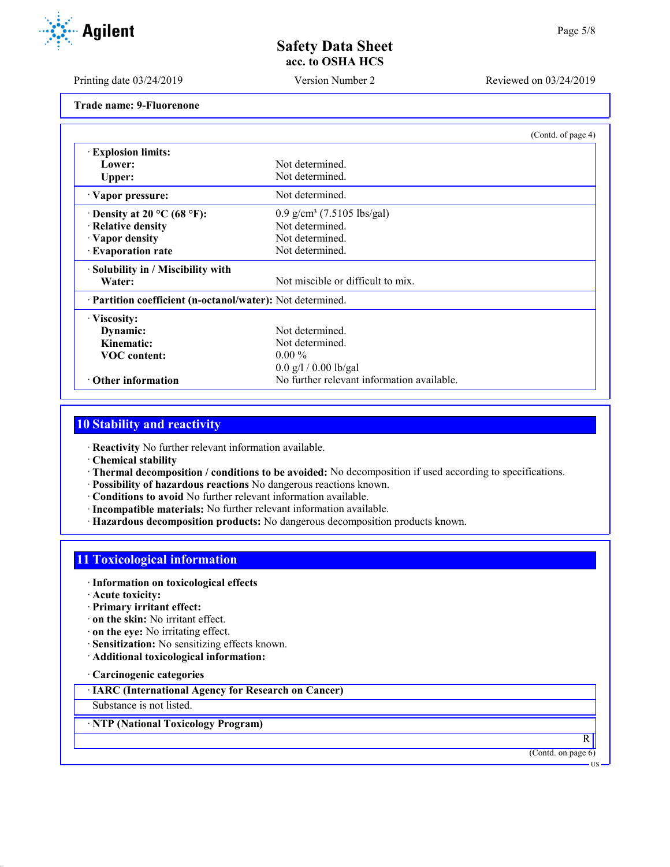Printing date 03/24/2019 Version Number 2 Reviewed on 03/24/2019

**Trade name: 9-Fluorenone**

|                                    |                                                            | (Contd. of page 4) |  |
|------------------------------------|------------------------------------------------------------|--------------------|--|
| <b>Explosion limits:</b>           |                                                            |                    |  |
| Lower:                             | Not determined.                                            |                    |  |
| Upper:                             | Not determined.                                            |                    |  |
| · Vapor pressure:                  | Not determined.                                            |                    |  |
| $\cdot$ Density at 20 °C (68 °F):  | $0.9$ g/cm <sup>3</sup> (7.5105 lbs/gal)                   |                    |  |
| · Relative density                 | Not determined.                                            |                    |  |
| · Vapor density                    | Not determined.                                            |                    |  |
| · Evaporation rate                 | Not determined.                                            |                    |  |
| · Solubility in / Miscibility with |                                                            |                    |  |
| Water:                             | Not miscible or difficult to mix.                          |                    |  |
|                                    | · Partition coefficient (n-octanol/water): Not determined. |                    |  |
| · Viscosity:                       |                                                            |                    |  |
| Dynamic:                           | Not determined.                                            |                    |  |
| Kinematic:                         | Not determined.                                            |                    |  |
| <b>VOC</b> content:                | $0.00\%$                                                   |                    |  |
|                                    | $0.0$ g/l / 0.00 lb/gal                                    |                    |  |
| Other information                  | No further relevant information available.                 |                    |  |

## **10 Stability and reactivity**

· **Reactivity** No further relevant information available.

· **Chemical stability**

· **Thermal decomposition / conditions to be avoided:** No decomposition if used according to specifications.

- · **Possibility of hazardous reactions** No dangerous reactions known.
- · **Conditions to avoid** No further relevant information available.
- · **Incompatible materials:** No further relevant information available.
- · **Hazardous decomposition products:** No dangerous decomposition products known.

# **11 Toxicological information**

- · **Information on toxicological effects**
- · **Acute toxicity:**
- · **Primary irritant effect:**
- · **on the skin:** No irritant effect.
- · **on the eye:** No irritating effect.
- · **Sensitization:** No sensitizing effects known.
- · **Additional toxicological information:**

· **Carcinogenic categories**

· **IARC (International Agency for Research on Cancer)**

Substance is not listed.

· **NTP (National Toxicology Program)**

(Contd. on page 6)

R

US

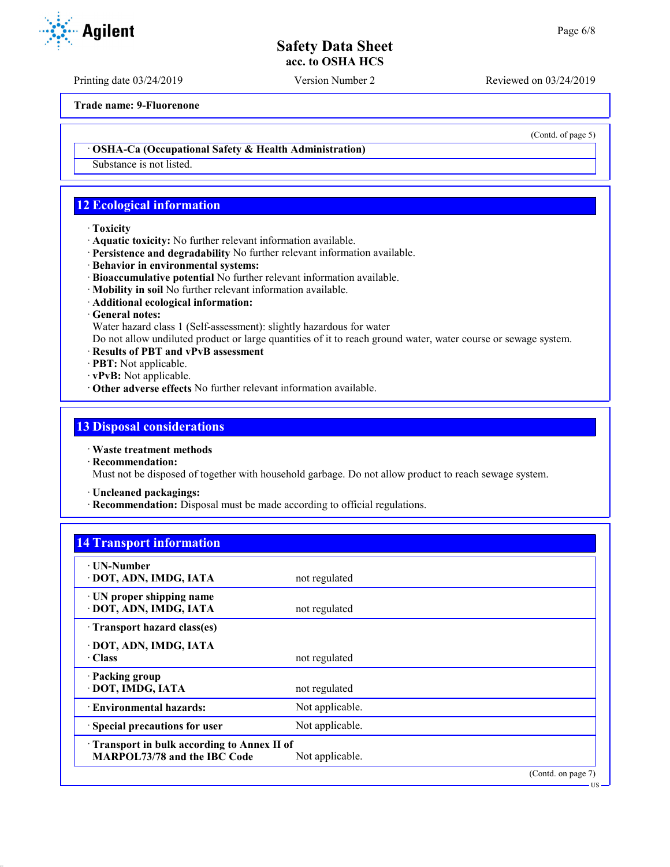Printing date 03/24/2019 Version Number 2 Reviewed on 03/24/2019

**Trade name: 9-Fluorenone**

· **OSHA-Ca (Occupational Safety & Health Administration)**

Substance is not listed.

# **12 Ecological information**

#### · **Toxicity**

- · **Aquatic toxicity:** No further relevant information available.
- · **Persistence and degradability** No further relevant information available.
- · **Behavior in environmental systems:**
- · **Bioaccumulative potential** No further relevant information available.
- · **Mobility in soil** No further relevant information available.
- · **Additional ecological information:**
- · **General notes:**

Water hazard class 1 (Self-assessment): slightly hazardous for water

Do not allow undiluted product or large quantities of it to reach ground water, water course or sewage system.

- · **Results of PBT and vPvB assessment**
- · **PBT:** Not applicable.
- · **vPvB:** Not applicable.
- · **Other adverse effects** No further relevant information available.

## **13 Disposal considerations**

- · **Waste treatment methods**
- · **Recommendation:**

Must not be disposed of together with household garbage. Do not allow product to reach sewage system.

- · **Uncleaned packagings:**
- · **Recommendation:** Disposal must be made according to official regulations.

# **14 Transport information**

| $\cdot$ UN-Number<br>· DOT, ADN, IMDG, IATA                                | not regulated   |                    |
|----------------------------------------------------------------------------|-----------------|--------------------|
| · UN proper shipping name<br>· DOT, ADN, IMDG, IATA                        | not regulated   |                    |
| · Transport hazard class(es)                                               |                 |                    |
| · DOT, ADN, IMDG, IATA<br>$\cdot$ Class                                    | not regulated   |                    |
| · Packing group<br>· DOT, IMDG, IATA                                       | not regulated   |                    |
| · Environmental hazards:                                                   | Not applicable. |                    |
| · Special precautions for user                                             | Not applicable. |                    |
| Transport in bulk according to Annex II of<br>MARPOL73/78 and the IBC Code | Not applicable. |                    |
|                                                                            |                 | (Contd. on page 7) |



(Contd. of page 5)

US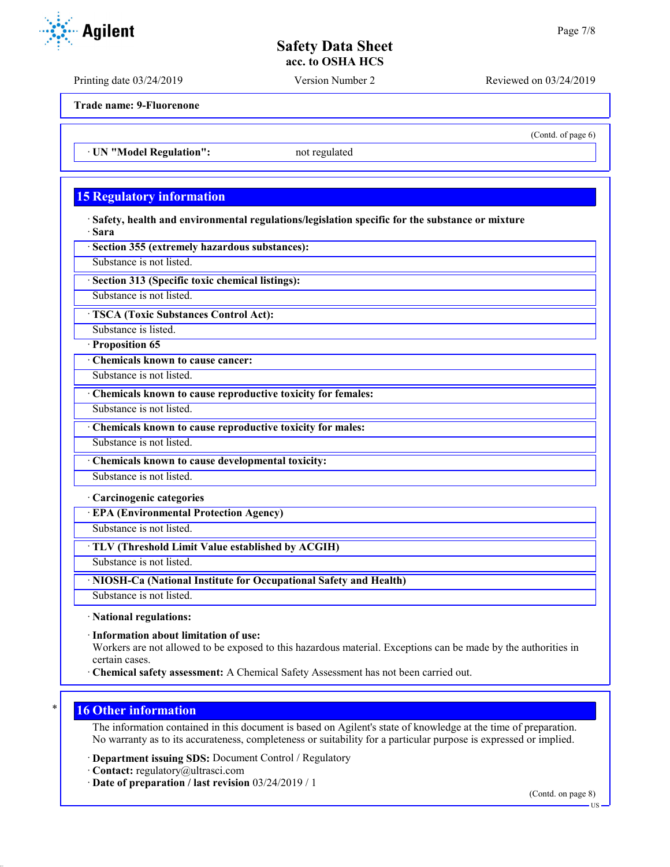Printing date 03/24/2019 Version Number 2 Reviewed on 03/24/2019

**Trade name: 9-Fluorenone**

· **UN "Model Regulation":** not regulated

# **15 Regulatory information**

· **Safety, health and environmental regulations/legislation specific for the substance or mixture** · **Sara**

· **Section 355 (extremely hazardous substances):**

Substance is not listed.

· **Section 313 (Specific toxic chemical listings):**

Substance is not listed.

· **TSCA (Toxic Substances Control Act):**

Substance is listed.

· **Proposition 65**

· **Chemicals known to cause cancer:**

Substance is not listed.

· **Chemicals known to cause reproductive toxicity for females:**

Substance is not listed.

· **Chemicals known to cause reproductive toxicity for males:**

Substance is not listed.

· **Chemicals known to cause developmental toxicity:**

Substance is not listed.

· **Carcinogenic categories**

· **EPA (Environmental Protection Agency)**

Substance is not listed.

· **TLV (Threshold Limit Value established by ACGIH)**

Substance is not listed.

· **NIOSH-Ca (National Institute for Occupational Safety and Health)**

Substance is not listed.

· **National regulations:**

· **Information about limitation of use:**

Workers are not allowed to be exposed to this hazardous material. Exceptions can be made by the authorities in certain cases.

· **Chemical safety assessment:** A Chemical Safety Assessment has not been carried out.

## **16 Other information**

The information contained in this document is based on Agilent's state of knowledge at the time of preparation. No warranty as to its accurateness, completeness or suitability for a particular purpose is expressed or implied.

· **Department issuing SDS:** Document Control / Regulatory

· **Contact:** regulatory@ultrasci.com

· **Date of preparation / last revision** 03/24/2019 / 1



(Contd. of page 6)